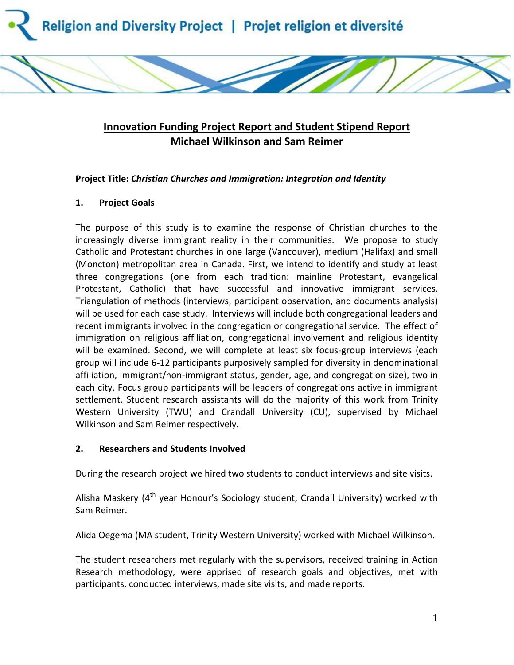



**Project Title:** *Christian Churches and Immigration: Integration and Identity*

## **1. Project Goals**

The purpose of this study is to examine the response of Christian churches to the increasingly diverse immigrant reality in their communities. We propose to study Catholic and Protestant churches in one large (Vancouver), medium (Halifax) and small (Moncton) metropolitan area in Canada. First, we intend to identify and study at least three congregations (one from each tradition: mainline Protestant, evangelical Protestant, Catholic) that have successful and innovative immigrant services. Triangulation of methods (interviews, participant observation, and documents analysis) will be used for each case study. Interviews will include both congregational leaders and recent immigrants involved in the congregation or congregational service. The effect of immigration on religious affiliation, congregational involvement and religious identity will be examined. Second, we will complete at least six focus-group interviews (each group will include 6-12 participants purposively sampled for diversity in denominational affiliation, immigrant/non-immigrant status, gender, age, and congregation size), two in each city. Focus group participants will be leaders of congregations active in immigrant settlement. Student research assistants will do the majority of this work from Trinity Western University (TWU) and Crandall University (CU), supervised by Michael Wilkinson and Sam Reimer respectively.

# **2. Researchers and Students Involved**

During the research project we hired two students to conduct interviews and site visits.

Alisha Maskery  $(4^{th}$  year Honour's Sociology student, Crandall University) worked with Sam Reimer.

Alida Oegema (MA student, Trinity Western University) worked with Michael Wilkinson.

The student researchers met regularly with the supervisors, received training in Action Research methodology, were apprised of research goals and objectives, met with participants, conducted interviews, made site visits, and made reports.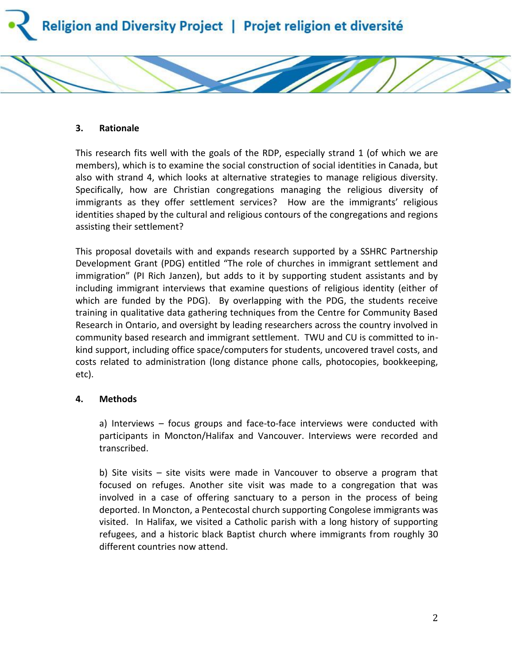

#### **3. Rationale**

This research fits well with the goals of the RDP, especially strand 1 (of which we are members), which is to examine the social construction of social identities in Canada, but also with strand 4, which looks at alternative strategies to manage religious diversity. Specifically, how are Christian congregations managing the religious diversity of immigrants as they offer settlement services? How are the immigrants' religious identities shaped by the cultural and religious contours of the congregations and regions assisting their settlement?

This proposal dovetails with and expands research supported by a SSHRC Partnership Development Grant (PDG) entitled "The role of churches in immigrant settlement and immigration" (PI Rich Janzen), but adds to it by supporting student assistants and by including immigrant interviews that examine questions of religious identity (either of which are funded by the PDG). By overlapping with the PDG, the students receive training in qualitative data gathering techniques from the Centre for Community Based Research in Ontario, and oversight by leading researchers across the country involved in community based research and immigrant settlement. TWU and CU is committed to inkind support, including office space/computers for students, uncovered travel costs, and costs related to administration (long distance phone calls, photocopies, bookkeeping, etc).

#### **4. Methods**

a) Interviews – focus groups and face-to-face interviews were conducted with participants in Moncton/Halifax and Vancouver. Interviews were recorded and transcribed.

b) Site visits – site visits were made in Vancouver to observe a program that focused on refuges. Another site visit was made to a congregation that was involved in a case of offering sanctuary to a person in the process of being deported. In Moncton, a Pentecostal church supporting Congolese immigrants was visited. In Halifax, we visited a Catholic parish with a long history of supporting refugees, and a historic black Baptist church where immigrants from roughly 30 different countries now attend.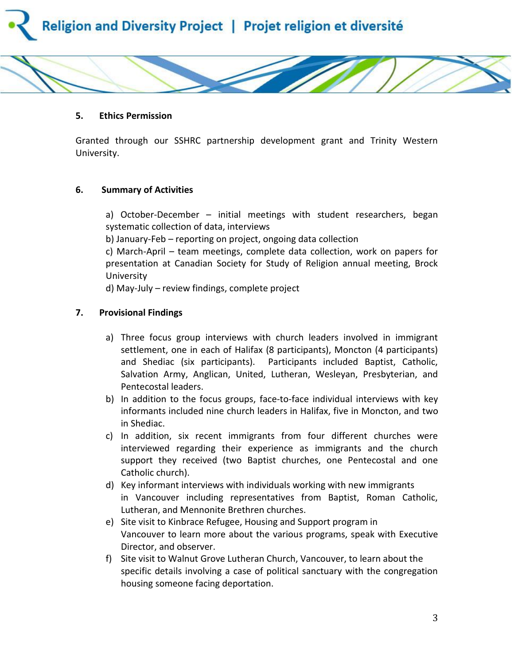



### **5. Ethics Permission**

Granted through our SSHRC partnership development grant and Trinity Western University.

## **6. Summary of Activities**

a) October-December – initial meetings with student researchers, began systematic collection of data, interviews

b) January-Feb – reporting on project, ongoing data collection

c) March-April – team meetings, complete data collection, work on papers for presentation at Canadian Society for Study of Religion annual meeting, Brock University

d) May-July – review findings, complete project

# **7. Provisional Findings**

- a) Three focus group interviews with church leaders involved in immigrant settlement, one in each of Halifax (8 participants), Moncton (4 participants) and Shediac (six participants). Participants included Baptist, Catholic, Salvation Army, Anglican, United, Lutheran, Wesleyan, Presbyterian, and Pentecostal leaders.
- b) In addition to the focus groups, face-to-face individual interviews with key informants included nine church leaders in Halifax, five in Moncton, and two in Shediac.
- c) In addition, six recent immigrants from four different churches were interviewed regarding their experience as immigrants and the church support they received (two Baptist churches, one Pentecostal and one Catholic church).
- d) Key informant interviews with individuals working with new immigrants in Vancouver including representatives from Baptist, Roman Catholic, Lutheran, and Mennonite Brethren churches.
- e) Site visit to Kinbrace Refugee, Housing and Support program in Vancouver to learn more about the various programs, speak with Executive Director, and observer.
- f) Site visit to Walnut Grove Lutheran Church, Vancouver, to learn about the specific details involving a case of political sanctuary with the congregation housing someone facing deportation.